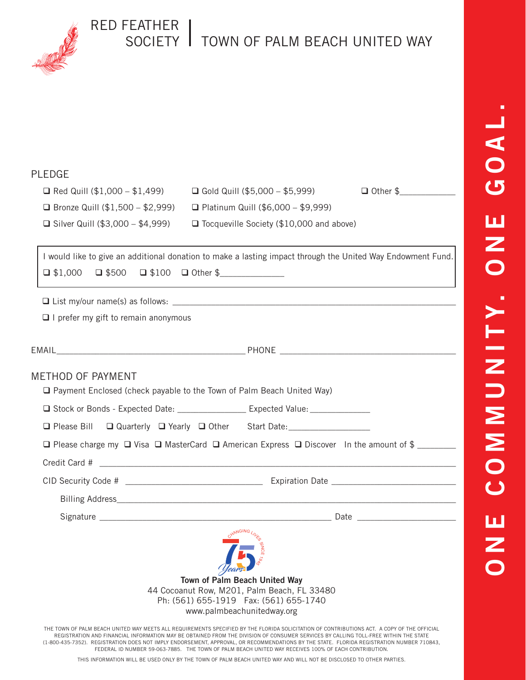

## RED FEATHER SOCIETY TOWN OF PALM BEACH UNITED WAY

## PLEDGE

| $\Box$ Red Quill (\$1,000 - \$1,499)        | $\Box$ Gold Quill (\$5,000 - \$5,999)           | $\Box$ Other \$ |
|---------------------------------------------|-------------------------------------------------|-----------------|
| <b>E</b> Bronze Quill $(\$1,500 - \$2,999)$ | $\Box$ Platinum Quill (\$6,000 - \$9,999)       |                 |
| □ Silver Quill $(\$3,000 - \$4,999)$        | $\Box$ Tocqueville Society (\$10,000 and above) |                 |

I would like to give an additional donation to make a lasting impact through the United Way Endowment Fund.  $\Box$  \$1,000  $\Box$  \$500  $\Box$  \$100  $\Box$  Other \$

 $\Box$  List my/our name(s) as follows:

 $\Box$  I prefer my gift to remain anonymous

| <b>METHOD OF PAYMENT</b><br>□ Payment Enclosed (check payable to the Town of Palm Beach United Way)               |  |  |
|-------------------------------------------------------------------------------------------------------------------|--|--|
|                                                                                                                   |  |  |
| □ Please Bill □ Quarterly □ Yearly □ Other Start Date: __________________                                         |  |  |
| $\Box$ Please charge my $\Box$ Visa $\Box$ MasterCard $\Box$ American Express $\Box$ Discover In the amount of \$ |  |  |
|                                                                                                                   |  |  |
|                                                                                                                   |  |  |
|                                                                                                                   |  |  |
|                                                                                                                   |  |  |
|                                                                                                                   |  |  |

**Town of Palm Beach United Way** 44 Cocoanut Row, M201, Palm Beach, FL 33480 Ph: (561) 655-1919 Fax: (561) 655-1740 Years

www.palmbeachunitedway.org

THE TOWN OF PALM BEACH UNITED WAY MEETS ALL REQUIREMENTS SPECIFIED BY THE FLORIDA SOLICITATION OF CONTRIBUTIONS ACT. A COPY OF THE OFFICIAL REGISTRATION AND FINANCIAL INFORMATION MAY BE OBTAINED FROM THE DIVISION OF CONSUMER SERVICES BY CALLING TOLL-FREE WITHIN THE STATE (1-800-435-7352). REGISTRATION DOES NOT IMPLY ENDORSEMENT, APPROVAL, OR RECOMMENDATIONS BY THE STATE. FLORIDA REGISTRATION NUMBER 710843, FEDERAL ID NUMBER 59-063-7885. THE TOWN OF PALM BEACH UNITED WAY RECEIVES 100% OF EACH CONTRIBUTION.